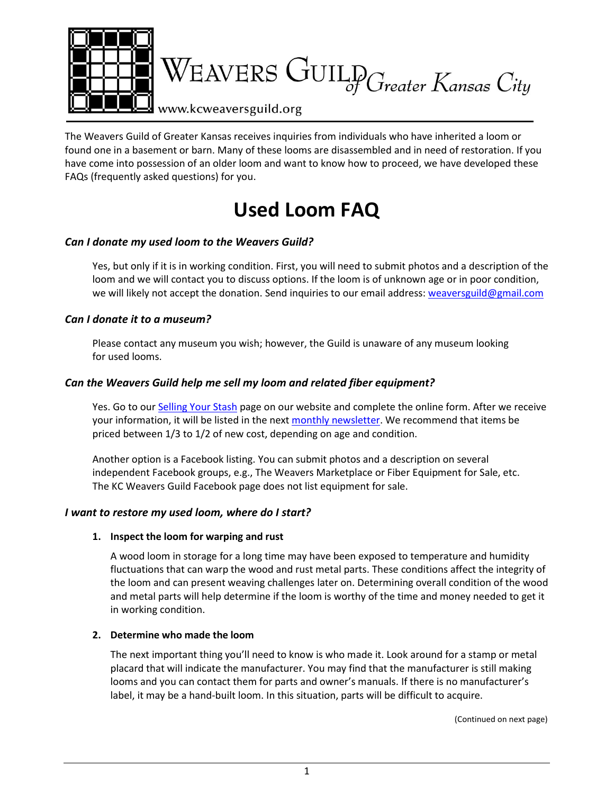

The Weavers Guild of Greater Kansas receives inquiries from individuals who have inherited a loom or found one in a basement or barn. Many of these looms are disassembled and in need of restoration. If you have come into possession of an older loom and want to know how to proceed, we have developed these FAQs (frequently asked questions) for you.

# **Used Loom FAQ**

# *Can I donate my used loom to the Weavers Guild?*

Yes, but only if it is in working condition. First, you will need to submit photos and a description of the loom and we will contact you to discuss options. If the loom is of unknown age or in poor condition, we will likely not accept the donation. Send inquiries to our email address: [weaversguild@gmail.com](mailto:weaversguild@gmail.com)

# *Can I donate it to a museum?*

Please contact any museum you wish; however, the Guild is unaware of any museum looking for used looms.

# *Can the Weavers Guild help me sell my loom and related fiber equipment?*

Yes. Go to ou[r Selling Your Stash](https://www.kcweaversguild.org/for-sale-by-owner) page on our website and complete the online form. After we receive your information, it will be listed in the next [monthly newsletter.](https://www.kcweaversguild.org/newsletters) We recommend that items be priced between 1/3 to 1/2 of new cost, depending on age and condition.

Another option is a Facebook listing. You can submit photos and a description on several independent Facebook groups, e.g., The Weavers Marketplace or Fiber Equipment for Sale, etc. The KC Weavers Guild Facebook page does not list equipment for sale.

# *I want to restore my used loom, where do I start?*

#### **1. Inspect the loom for warping and rust**

A wood loom in storage for a long time may have been exposed to temperature and humidity fluctuations that can warp the wood and rust metal parts. These conditions affect the integrity of the loom and can present weaving challenges later on. Determining overall condition of the wood and metal parts will help determine if the loom is worthy of the time and money needed to get it in working condition.

#### **2. Determine who made the loom**

The next important thing you'll need to know is who made it. Look around for a stamp or metal placard that will indicate the manufacturer. You may find that the manufacturer is still making looms and you can contact them for parts and owner's manuals. If there is no manufacturer's label, it may be a hand-built loom. In this situation, parts will be difficult to acquire.

(Continued on next page)